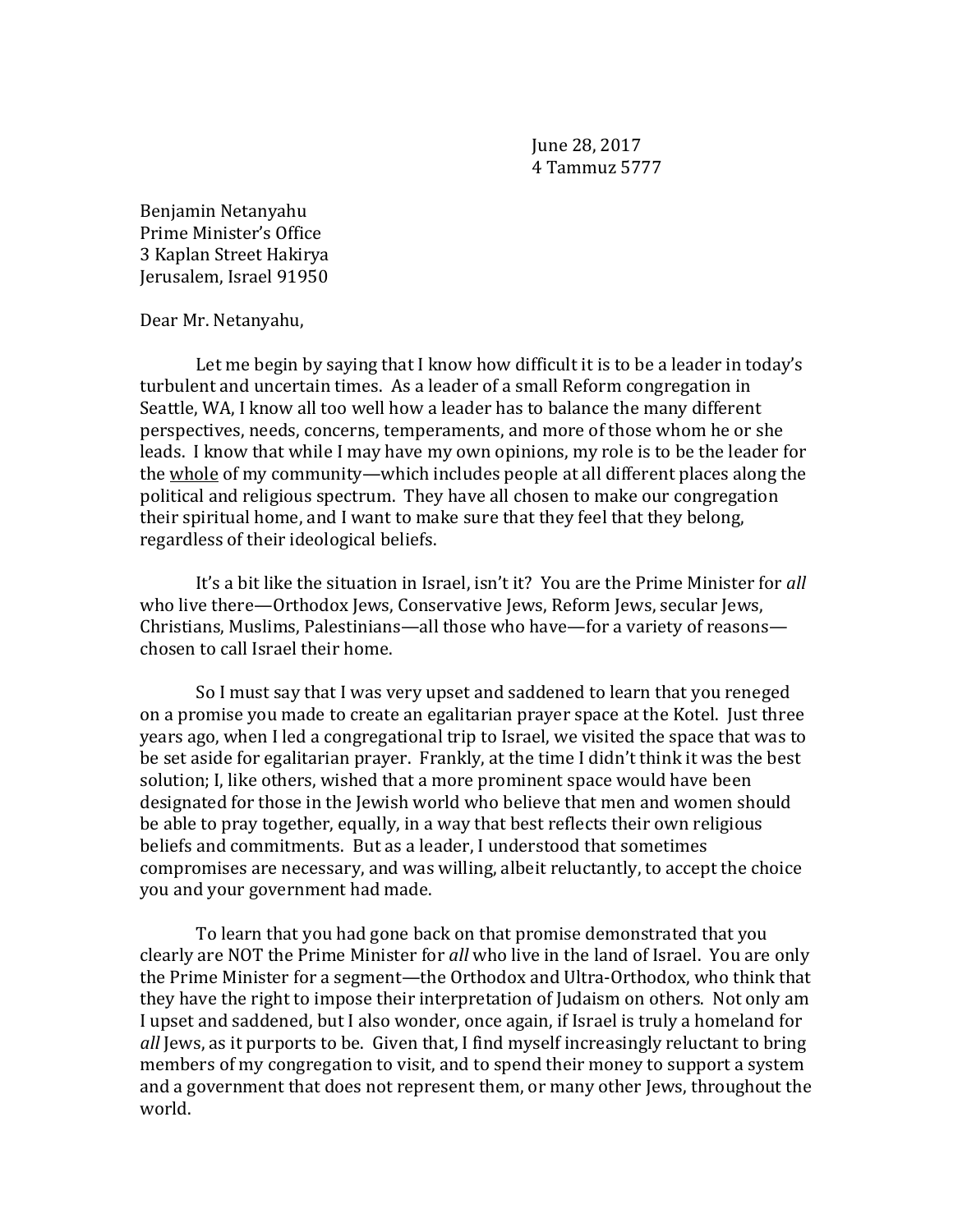June 28, 2017 4 Tammuz 5777

Benjamin Netanyahu Prime Minister's Office 3 Kaplan Street Hakirya Jerusalem, Israel 91950

Dear Mr. Netanyahu,

Let me begin by saying that I know how difficult it is to be a leader in today's turbulent and uncertain times. As a leader of a small Reform congregation in Seattle, WA, I know all too well how a leader has to balance the many different perspectives, needs, concerns, temperaments, and more of those whom he or she leads. I know that while I may have my own opinions, my role is to be the leader for the whole of my community—which includes people at all different places along the political and religious spectrum. They have all chosen to make our congregation their spiritual home, and I want to make sure that they feel that they belong, regardless of their ideological beliefs.

It's a bit like the situation in Israel, isn't it? You are the Prime Minister for *all* who live there—Orthodox Jews, Conservative Jews, Reform Jews, secular Jews, Christians, Muslims, Palestinians—all those who have—for a variety of reasons chosen to call Israel their home.

So I must say that I was very upset and saddened to learn that you reneged on a promise you made to create an egalitarian prayer space at the Kotel. Just three years ago, when I led a congregational trip to Israel, we visited the space that was to be set aside for egalitarian prayer. Frankly, at the time I didn't think it was the best solution; I, like others, wished that a more prominent space would have been designated for those in the Jewish world who believe that men and women should be able to pray together, equally, in a way that best reflects their own religious beliefs and commitments. But as a leader, I understood that sometimes compromises are necessary, and was willing, albeit reluctantly, to accept the choice you and your government had made.

To learn that you had gone back on that promise demonstrated that you clearly are NOT the Prime Minister for *all* who live in the land of Israel. You are only the Prime Minister for a segment—the Orthodox and Ultra-Orthodox, who think that they have the right to impose their interpretation of Judaism on others. Not only am I upset and saddened, but I also wonder, once again, if Israel is truly a homeland for *all* Jews, as it purports to be. Given that, I find myself increasingly reluctant to bring members of my congregation to visit, and to spend their money to support a system and a government that does not represent them, or many other Jews, throughout the world.